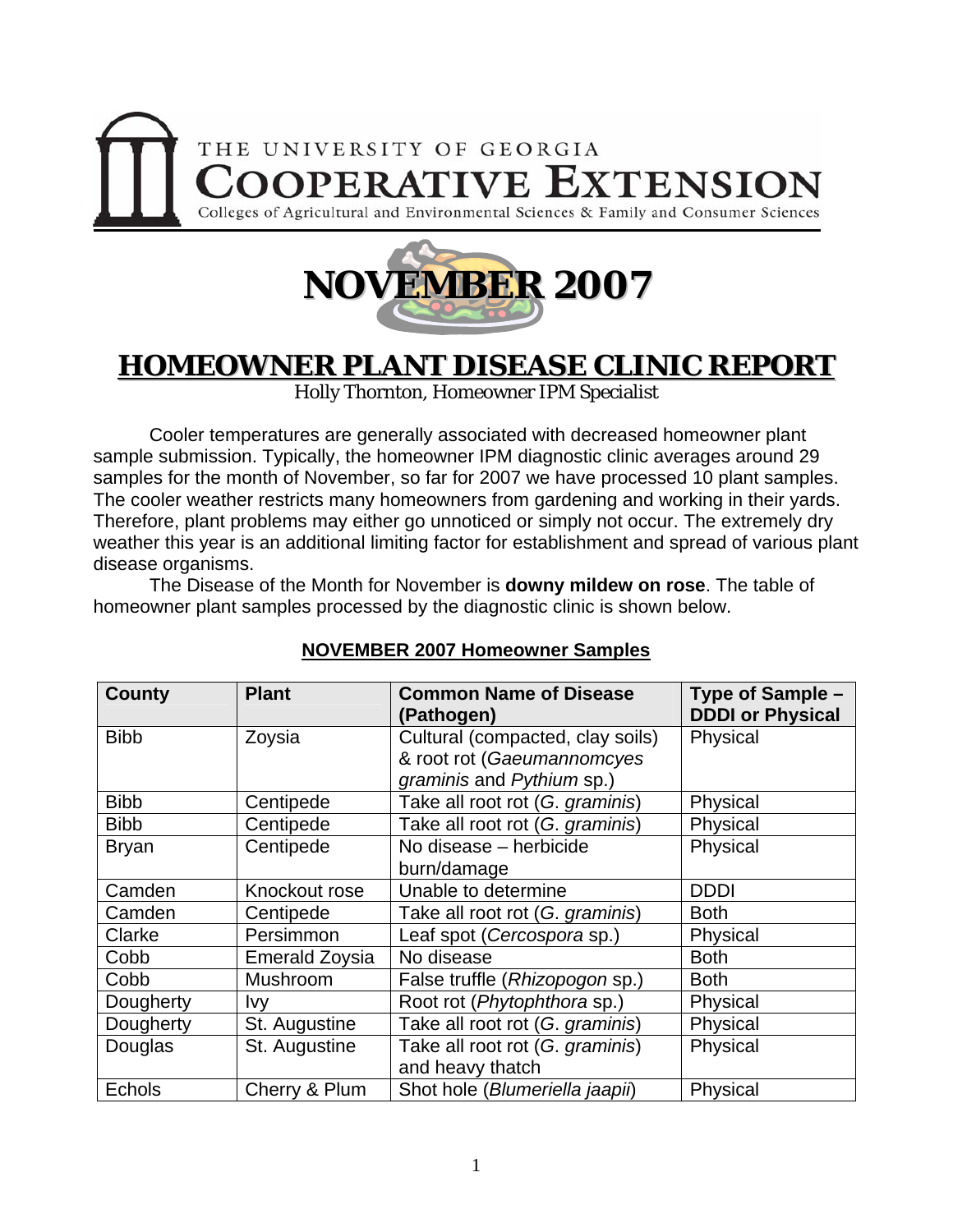



# **HOMEOWNER PLANT DISEASE CLINIC REPORT**

Holly Thornton, Homeowner IPM Specialist

 Cooler temperatures are generally associated with decreased homeowner plant sample submission. Typically, the homeowner IPM diagnostic clinic averages around 29 samples for the month of November, so far for 2007 we have processed 10 plant samples. The cooler weather restricts many homeowners from gardening and working in their yards. Therefore, plant problems may either go unnoticed or simply not occur. The extremely dry weather this year is an additional limiting factor for establishment and spread of various plant disease organisms.

 The Disease of the Month for November is **downy mildew on rose**. The table of homeowner plant samples processed by the diagnostic clinic is shown below.

| <b>County</b>             | <b>Plant</b>          | <b>Common Name of Disease</b><br>(Pathogen)                                | Type of Sample -<br><b>DDDI or Physical</b> |
|---------------------------|-----------------------|----------------------------------------------------------------------------|---------------------------------------------|
| <b>Bibb</b><br>Zoysia     |                       | Cultural (compacted, clay soils)<br>Physical<br>& root rot (Gaeumannomcyes |                                             |
|                           |                       | graminis and Pythium sp.)                                                  |                                             |
| <b>Bibb</b>               | Centipede             | Take all root rot (G. graminis)                                            | Physical                                    |
| <b>Bibb</b>               | Centipede             | Take all root rot (G. graminis)                                            | Physical                                    |
| Centipede<br><b>Bryan</b> |                       | No disease - herbicide                                                     | Physical                                    |
|                           |                       | burn/damage                                                                |                                             |
| Camden                    | Knockout rose         | Unable to determine                                                        | <b>DDDI</b>                                 |
| Camden                    | Centipede             | Take all root rot (G. graminis)                                            | <b>Both</b>                                 |
| Clarke                    | Persimmon             | Leaf spot (Cercospora sp.)                                                 | Physical                                    |
| Cobb                      | <b>Emerald Zoysia</b> | No disease                                                                 | <b>Both</b>                                 |
| Cobb                      | Mushroom              | False truffle (Rhizopogon sp.)                                             | <b>Both</b>                                 |
| Dougherty                 | <u>lvy</u>            | Root rot (Phytophthora sp.)                                                | Physical                                    |
| Dougherty                 | St. Augustine         | Take all root rot (G. graminis)                                            | Physical                                    |
| Douglas                   | St. Augustine         | Take all root rot (G. graminis)                                            | Physical                                    |
|                           |                       | and heavy thatch                                                           |                                             |
| Echols                    | Cherry & Plum         | Shot hole (Blumeriella jaapii)                                             | Physical                                    |

## **NOVEMBER 2007 Homeowner Samples**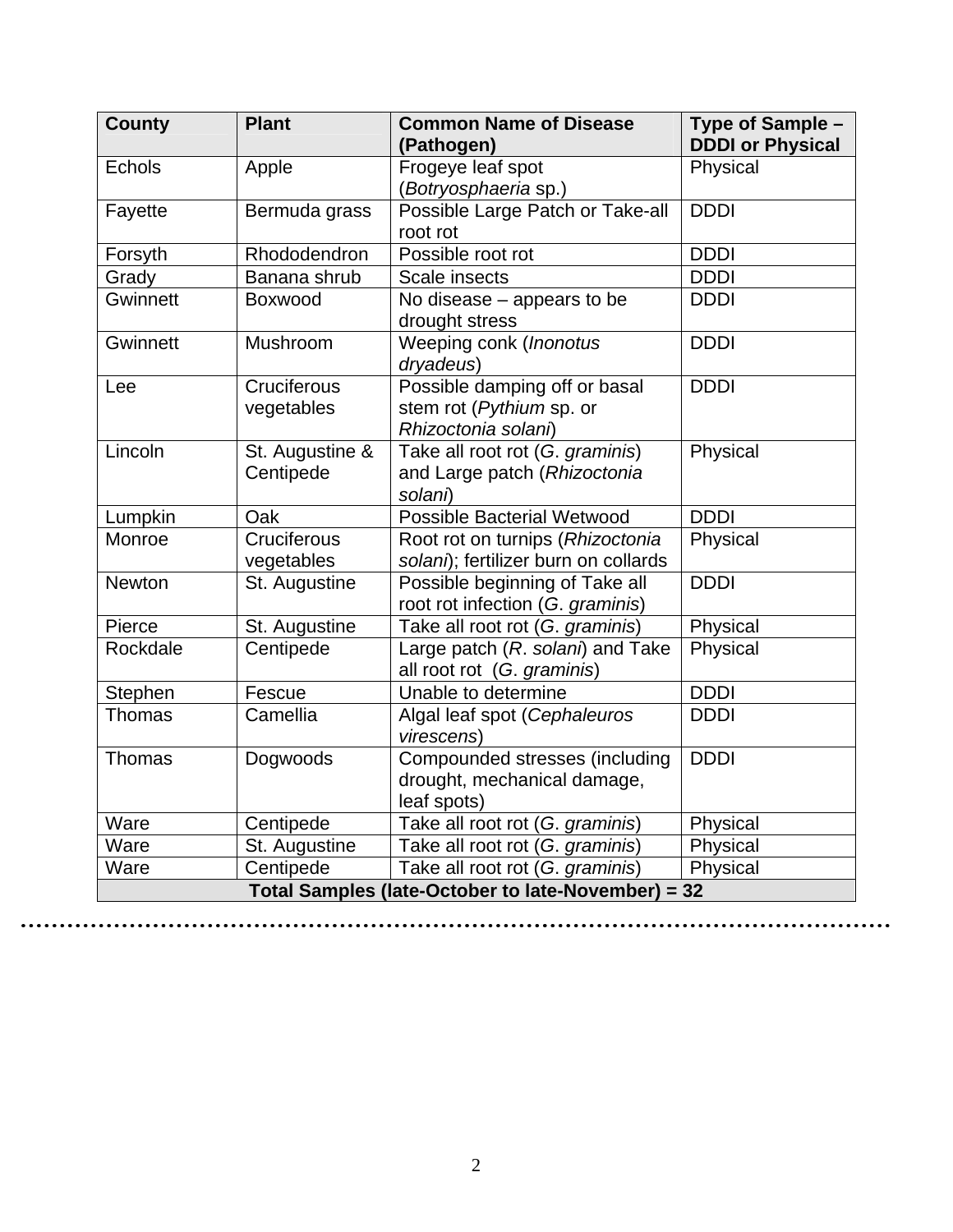| <b>County</b>                                      | <b>Plant</b>    | <b>Common Name of Disease</b><br>(Pathogen)                    | Type of Sample -<br><b>DDDI or Physical</b> |  |
|----------------------------------------------------|-----------------|----------------------------------------------------------------|---------------------------------------------|--|
| <b>Echols</b>                                      | Apple           | Frogeye leaf spot                                              | Physical                                    |  |
|                                                    |                 | (Botryosphaeria sp.)                                           |                                             |  |
| Fayette                                            | Bermuda grass   | Possible Large Patch or Take-all                               | <b>DDDI</b>                                 |  |
|                                                    |                 | root rot                                                       |                                             |  |
| Forsyth                                            | Rhododendron    | Possible root rot                                              | <b>DDDI</b>                                 |  |
| Grady                                              | Banana shrub    | Scale insects                                                  | <b>DDDI</b>                                 |  |
| <b>Gwinnett</b>                                    | Boxwood         | No disease - appears to be                                     | <b>DDDI</b>                                 |  |
|                                                    |                 | drought stress                                                 |                                             |  |
| Gwinnett                                           | Mushroom        | Weeping conk (Inonotus<br>dryadeus)                            | <b>DDDI</b>                                 |  |
| Lee                                                | Cruciferous     | Possible damping off or basal                                  | <b>DDDI</b>                                 |  |
|                                                    | vegetables      | stem rot (Pythium sp. or                                       |                                             |  |
|                                                    |                 | Rhizoctonia solani)                                            |                                             |  |
| Lincoln                                            | St. Augustine & | Take all root rot (G. graminis)                                | Physical                                    |  |
|                                                    | Centipede       | and Large patch (Rhizoctonia                                   |                                             |  |
|                                                    |                 | solani)                                                        |                                             |  |
| Lumpkin                                            | Oak             | <b>Possible Bacterial Wetwood</b>                              | <b>DDDI</b>                                 |  |
| Monroe                                             | Cruciferous     | Root rot on turnips (Rhizoctonia                               | Physical                                    |  |
|                                                    | vegetables      | solani); fertilizer burn on collards                           |                                             |  |
| Newton                                             | St. Augustine   | Possible beginning of Take all                                 | <b>DDDI</b>                                 |  |
|                                                    |                 | root rot infection (G. graminis)                               |                                             |  |
| Pierce                                             | St. Augustine   | Take all root rot (G. graminis)                                | Physical                                    |  |
| Rockdale                                           | Centipede       | Large patch (R. solani) and Take<br>all root rot (G. graminis) | Physical                                    |  |
| Stephen                                            | Fescue          | Unable to determine                                            | <b>DDDI</b>                                 |  |
| Thomas                                             | Camellia        | Algal leaf spot (Cephaleuros<br>virescens)                     | <b>DDDI</b>                                 |  |
| Thomas                                             | Dogwoods        | Compounded stresses (including                                 | <b>DDDI</b>                                 |  |
|                                                    |                 | drought, mechanical damage,<br>leaf spots)                     |                                             |  |
| Ware                                               | Centipede       | Take all root rot (G. graminis)                                | Physical                                    |  |
| Ware                                               | St. Augustine   | Take all root rot (G. graminis)                                | Physical                                    |  |
| Ware                                               | Centipede       | Take all root rot (G. graminis)                                | Physical                                    |  |
| Total Samples (late-October to late-November) = 32 |                 |                                                                |                                             |  |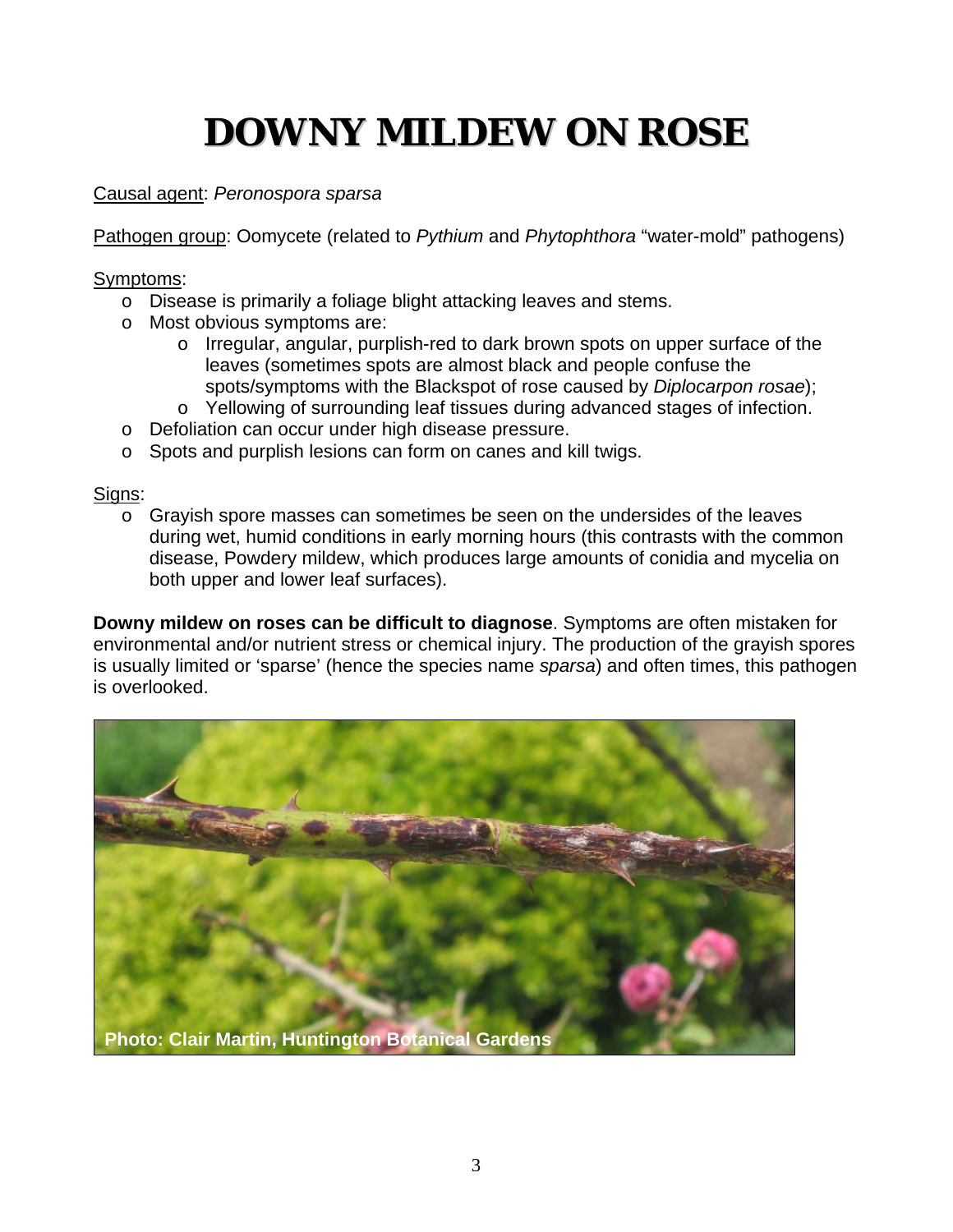# **DOWNY MILDEW ON ROSE**

### Causal agent: *Peronospora sparsa*

Pathogen group: Oomycete (related to *Pythium* and *Phytophthora* "water-mold" pathogens)

Symptoms:

- o Disease is primarily a foliage blight attacking leaves and stems.
- o Most obvious symptoms are:
	- o Irregular, angular, purplish-red to dark brown spots on upper surface of the leaves (sometimes spots are almost black and people confuse the spots/symptoms with the Blackspot of rose caused by *Diplocarpon rosae*);
	- o Yellowing of surrounding leaf tissues during advanced stages of infection.
- o Defoliation can occur under high disease pressure.
- o Spots and purplish lesions can form on canes and kill twigs.

Signs:

o Grayish spore masses can sometimes be seen on the undersides of the leaves during wet, humid conditions in early morning hours (this contrasts with the common disease, Powdery mildew, which produces large amounts of conidia and mycelia on both upper and lower leaf surfaces).

**Downy mildew on roses can be difficult to diagnose**. Symptoms are often mistaken for environmental and/or nutrient stress or chemical injury. The production of the grayish spores is usually limited or 'sparse' (hence the species name *sparsa*) and often times, this pathogen is overlooked.

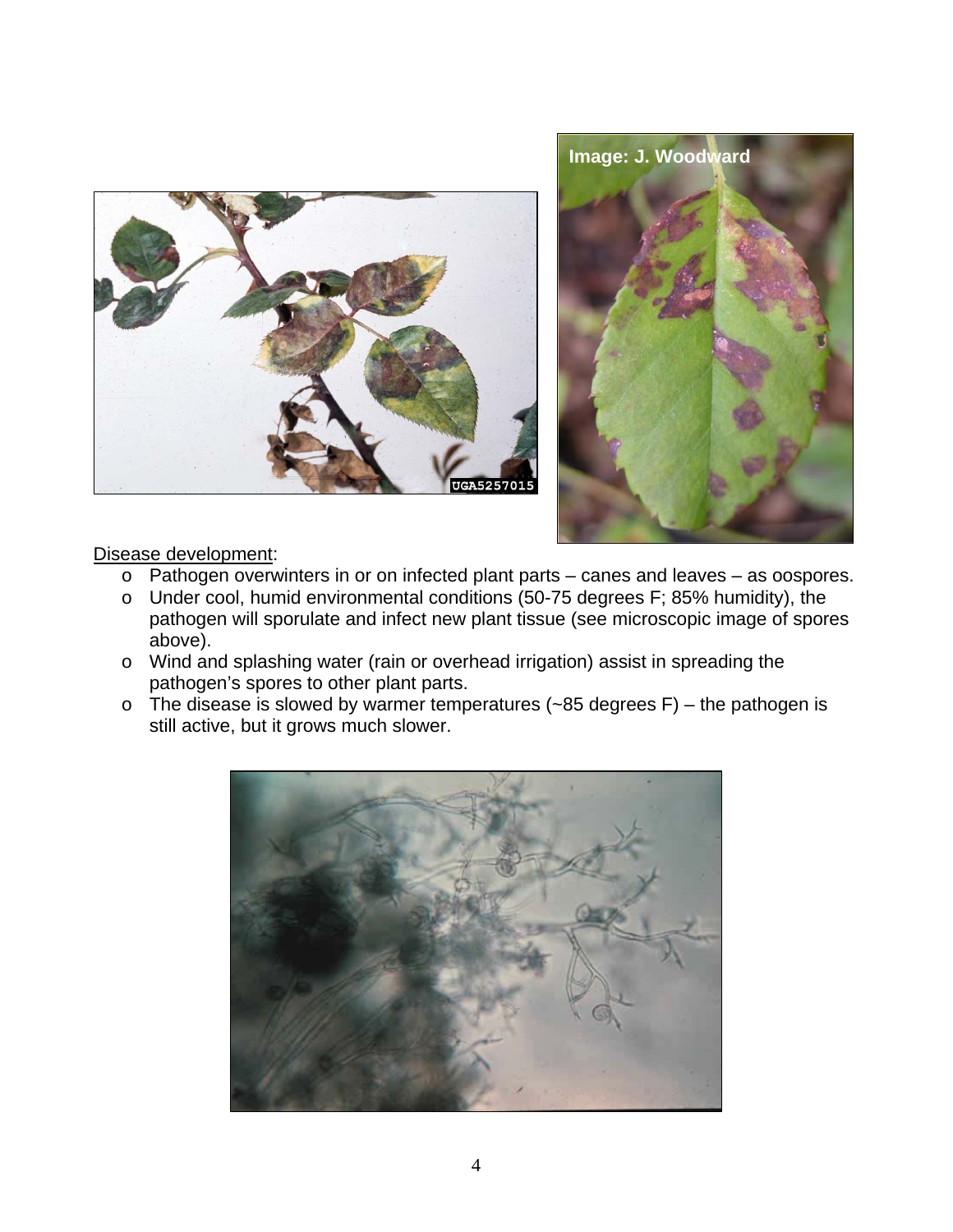



#### Disease development:

- o Pathogen overwinters in or on infected plant parts canes and leaves as oospores.
- o Under cool, humid environmental conditions (50-75 degrees F; 85% humidity), the pathogen will sporulate and infect new plant tissue (see microscopic image of spores above).
- o Wind and splashing water (rain or overhead irrigation) assist in spreading the pathogen's spores to other plant parts.
- $\circ$  The disease is slowed by warmer temperatures (~85 degrees F) the pathogen is still active, but it grows much slower.